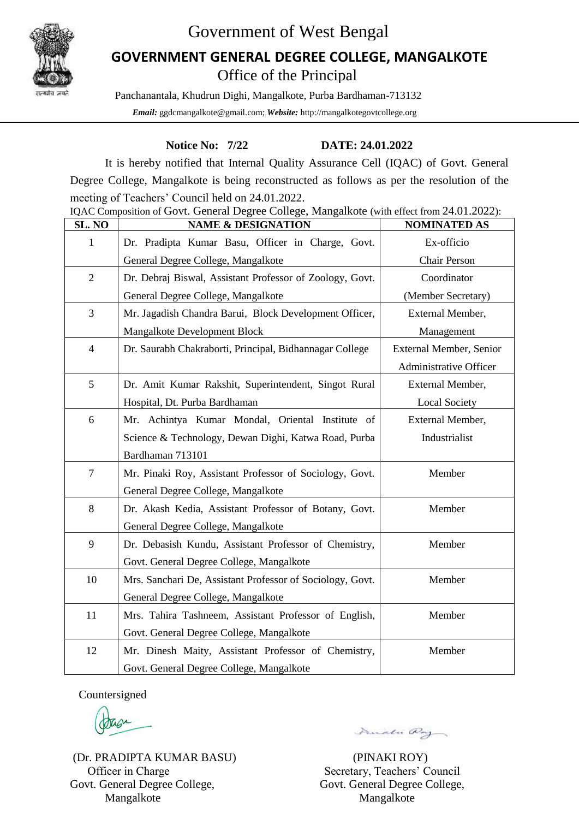

# Government of West Bengal

## Office of the Principal **GOVERNMENT GENERAL DEGREE COLLEGE, MANGALKOTE**

Panchanantala, Khudrun Dighi, Mangalkote, Purba Bardhaman-713132  *Email:* ggdcmangalkote@gmail.com; *Website:* http://mangalkotegovtcollege.org

### **Notice No: 7/22 DATE: 24.01.2022**

It is hereby notified that Internal Quality Assurance Cell (IQAC) of Govt. General Degree College, Mangalkote is being reconstructed as follows as per the resolution of the meeting of Teachers' Council held on 24.01.2022.

| SL. NO         | <b>NAME &amp; DESIGNATION</b>                             | <b>NOMINATED AS</b>     |
|----------------|-----------------------------------------------------------|-------------------------|
| 1              | Dr. Pradipta Kumar Basu, Officer in Charge, Govt.         | Ex-officio              |
|                | General Degree College, Mangalkote                        | Chair Person            |
| $\overline{2}$ | Dr. Debraj Biswal, Assistant Professor of Zoology, Govt.  | Coordinator             |
|                | General Degree College, Mangalkote                        | (Member Secretary)      |
| 3              | Mr. Jagadish Chandra Barui, Block Development Officer,    | External Member,        |
|                | Mangalkote Development Block                              | Management              |
| $\overline{4}$ | Dr. Saurabh Chakraborti, Principal, Bidhannagar College   | External Member, Senior |
|                |                                                           | Administrative Officer  |
| 5              | Dr. Amit Kumar Rakshit, Superintendent, Singot Rural      | External Member,        |
|                | Hospital, Dt. Purba Bardhaman                             | <b>Local Society</b>    |
| 6              | Mr. Achintya Kumar Mondal, Oriental Institute of          | External Member,        |
|                | Science & Technology, Dewan Dighi, Katwa Road, Purba      | Industrialist           |
|                | Bardhaman 713101                                          |                         |
| $\overline{7}$ | Mr. Pinaki Roy, Assistant Professor of Sociology, Govt.   | Member                  |
|                | General Degree College, Mangalkote                        |                         |
| 8              | Dr. Akash Kedia, Assistant Professor of Botany, Govt.     | Member                  |
|                | General Degree College, Mangalkote                        |                         |
| 9              | Dr. Debasish Kundu, Assistant Professor of Chemistry,     | Member                  |
|                | Govt. General Degree College, Mangalkote                  |                         |
| 10             | Mrs. Sanchari De, Assistant Professor of Sociology, Govt. | Member                  |
|                | General Degree College, Mangalkote                        |                         |
| 11             | Mrs. Tahira Tashneem, Assistant Professor of English,     | Member                  |
|                | Govt. General Degree College, Mangalkote                  |                         |
| 12             | Mr. Dinesh Maity, Assistant Professor of Chemistry,       | Member                  |
|                | Govt. General Degree College, Mangalkote                  |                         |

IQAC Composition of Govt. General Degree College, Mangalkote (with effect from 24.01.2022):

Countersigned

(Dr. PRADIPTA KUMAR BASU) (PINAKI ROY) Officer in Charge Secretary, Teachers' Council Govt. General Degree College, Govt. General Degree College, Mangalkote Mangalkote

Direction Pay